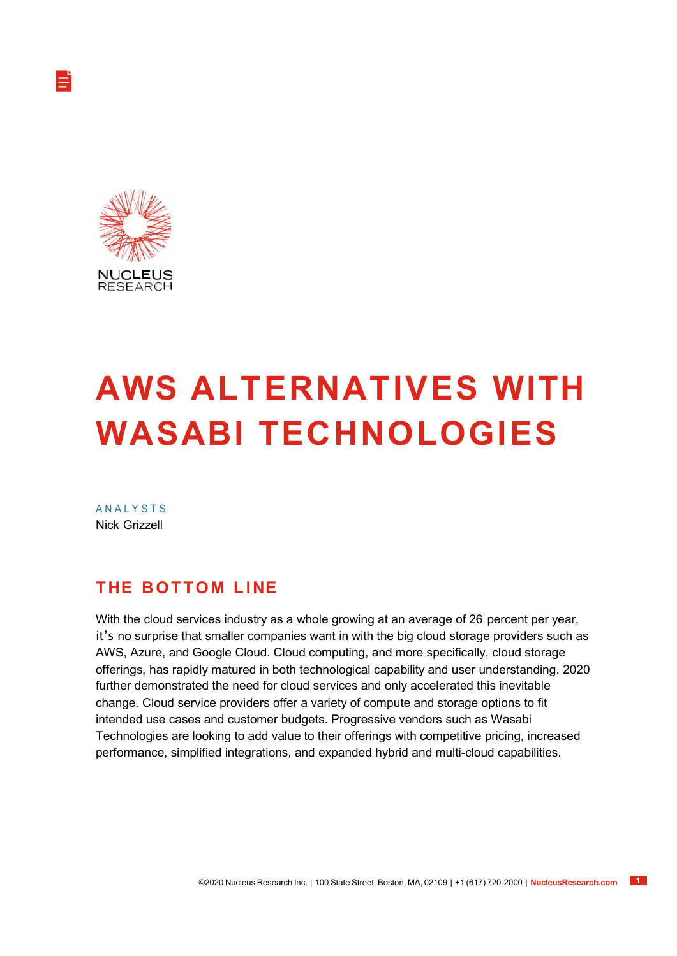

# AWS ALTERNATIVES WITH WASABI TECHNOLOGIES

**ANALYSTS** Nick Grizzell

#### **THE BOTTOM LINE**

With the cloud services industry as a whole growing at an average of 26 percent per year, it's no surprise that smaller companies want in with the big cloud storage providers such as AWS, Azure, and Google Cloud. Cloud computing, and more specifically, cloud storage offerings, has rapidly matured in both technological capability and user understanding. 2020 further demonstrated the need for cloud services and only accelerated this inevitable change. Cloud service providers offer a variety of compute and storage options to fit intended use cases and customer budgets. Progressive vendors such as Wasabi Technologies are looking to add value to their offerings with competitive pricing, increased performance, simplified integrations, and expanded hybrid and multi-cloud capabilities.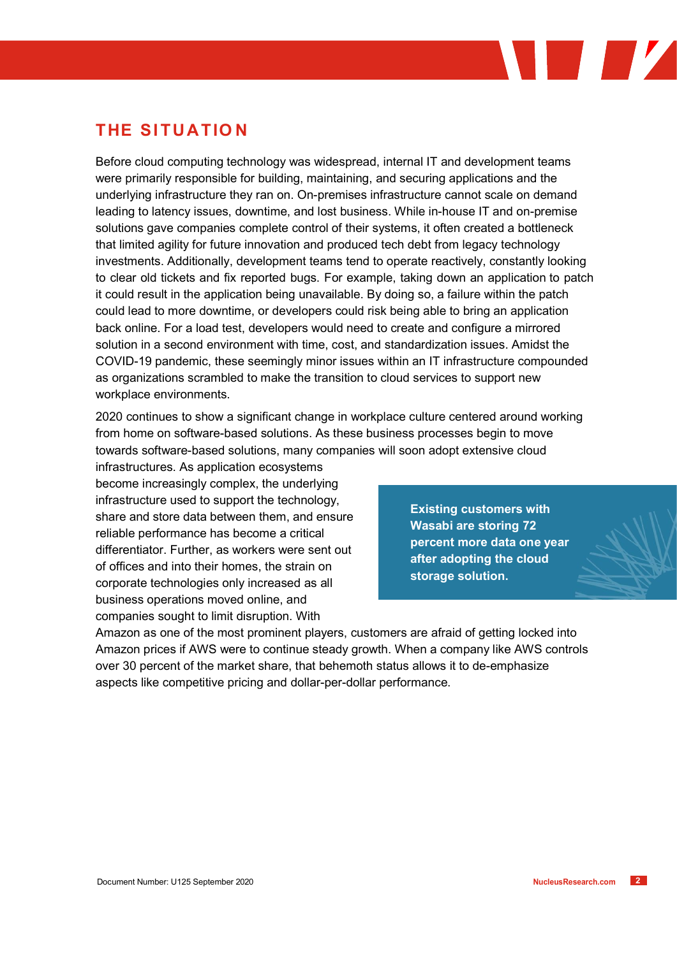#### **THE SITUATION**

Before cloud computing technology was widespread, internal IT and development teams were primarily responsible for building, maintaining, and securing applications and the underlying infrastructure they ran on. On-premises infrastructure cannot scale on demand leading to latency issues, downtime, and lost business. While in-house IT and on-premise solutions gave companies complete control of their systems, it often created a bottleneck that limited agility for future innovation and produced tech debt from legacy technology investments. Additionally, development teams tend to operate reactively, constantly looking to clear old tickets and fix reported bugs. For example, taking down an application to patch it could result in the application being unavailable. By doing so, a failure within the patch could lead to more downtime, or developers could risk being able to bring an application back online. For a load test, developers would need to create and configure a mirrored solution in a second environment with time, cost, and standardization issues. Amidst the COVID-19 pandemic, these seemingly minor issues within an IT infrastructure compounded as organizations scrambled to make the transition to cloud services to support new workplace environments.

2020 continues to show a significant change in workplace culture centered around working from home on software-based solutions. As these business processes begin to move towards software-based solutions, many companies will soon adopt extensive cloud

infrastructures. As application ecosystems become increasingly complex, the underlying infrastructure used to support the technology, share and store data between them, and ensure reliable performance has become a critical differentiator. Further, as workers were sent out of offices and into their homes, the strain on corporate technologies only increased as all business operations moved online, and companies sought to limit disruption. With

Existing customers with Wasabi are storing 72 percent more data one year after adopting the cloud storage solution.

Amazon as one of the most prominent players, customers are afraid of getting locked into Amazon prices if AWS were to continue steady growth. When a company like AWS controls over 30 percent of the market share, that behemoth status allows it to de-emphasize aspects like competitive pricing and dollar-per-dollar performance.

**I**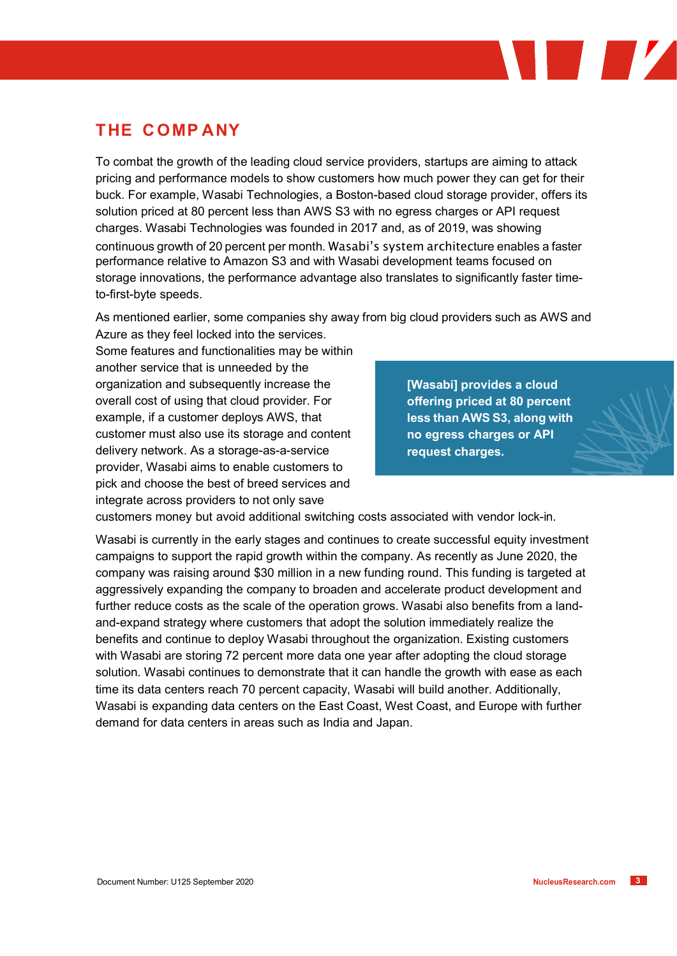#### THE COMPANY

To combat the growth of the leading cloud service providers, startups are aiming to attack pricing and performance models to show customers how much power they can get for their buck. For example, Wasabi Technologies, a Boston-based cloud storage provider, offers its solution priced at 80 percent less than AWS S3 with no egress charges or API request charges. Wasabi Technologies was founded in 2017 and, as of 2019, was showing continuous growth of 20 percent per month. Wasabi's system architecture enables a faster performance relative to Amazon S3 and with Wasabi development teams focused on storage innovations, the performance advantage also translates to significantly faster timeto-first-byte speeds.

As mentioned earlier, some companies shy away from big cloud providers such as AWS and Azure as they feel locked into the services.

Some features and functionalities may be within another service that is unneeded by the organization and subsequently increase the overall cost of using that cloud provider. For example, if a customer deploys AWS, that customer must also use its storage and content delivery network. As a storage-as-a-service provider, Wasabi aims to enable customers to pick and choose the best of breed services and integrate across providers to not only save

[Wasabi] provides a cloud offering priced at 80 percent less than AWS S3, along with no egress charges or API request charges.

 $\blacksquare$ 

customers money but avoid additional switching costs associated with vendor lock-in.

Wasabi is currently in the early stages and continues to create successful equity investment campaigns to support the rapid growth within the company. As recently as June 2020, the company was raising around \$30 million in a new funding round. This funding is targeted at aggressively expanding the company to broaden and accelerate product development and further reduce costs as the scale of the operation grows. Wasabi also benefits from a landand-expand strategy where customers that adopt the solution immediately realize the benefits and continue to deploy Wasabi throughout the organization. Existing customers with Wasabi are storing 72 percent more data one year after adopting the cloud storage solution. Wasabi continues to demonstrate that it can handle the growth with ease as each time its data centers reach 70 percent capacity, Wasabi will build another. Additionally, Wasabi is expanding data centers on the East Coast, West Coast, and Europe with further demand for data centers in areas such as India and Japan.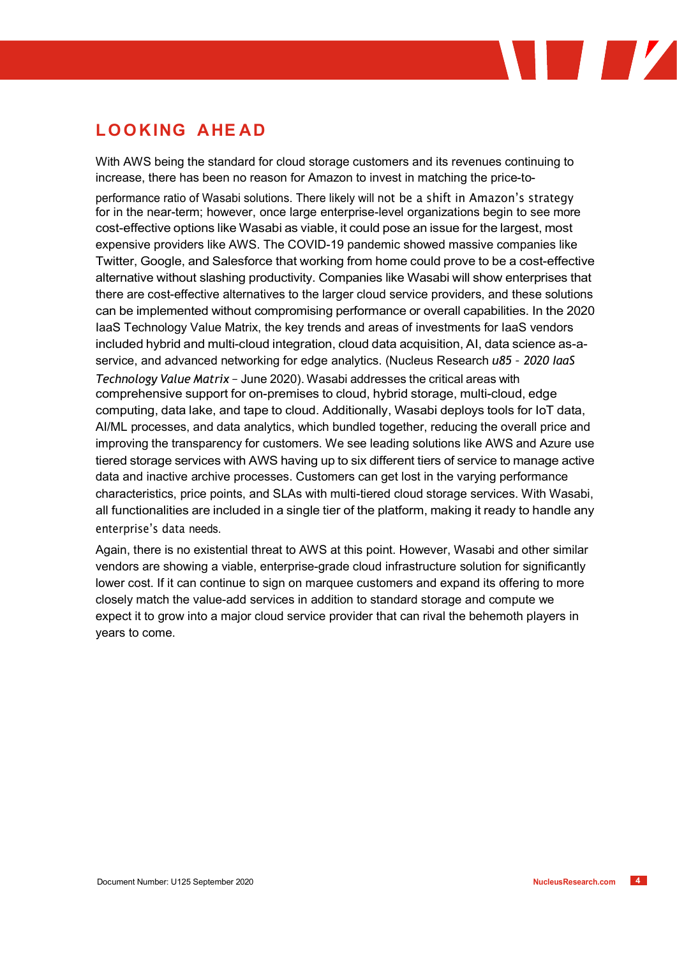### LOOKING AHEAD

With AWS being the standard for cloud storage customers and its revenues continuing to increase, there has been no reason for Amazon to invest in matching the price-to-

performance ratio of Wasabi solutions. There likely will not be a shift in Amazon's strategy for in the near-term; however, once large enterprise-level organizations begin to see more cost-effective options like Wasabi as viable, it could pose an issue for the largest, most expensive providers like AWS. The COVID-19 pandemic showed massive companies like Twitter, Google, and Salesforce that working from home could prove to be a cost-effective alternative without slashing productivity. Companies like Wasabi will show enterprises that there are cost-effective alternatives to the larger cloud service providers, and these solutions can be implemented without compromising performance or overall capabilities. In the 2020 IaaS Technology Value Matrix, the key trends and areas of investments for IaaS vendors included hybrid and multi-cloud integration, cloud data acquisition, AI, data science as-aservice, and advanced networking for edge analytics. (Nucleus Research u85 – 2020 IaaS Technology Value Matrix – June 2020). Wasabi addresses the critical areas with comprehensive support for on-premises to cloud, hybrid storage, multi-cloud, edge computing, data lake, and tape to cloud. Additionally, Wasabi deploys tools for IoT data, AI/ML processes, and data analytics, which bundled together, reducing the overall price and improving the transparency for customers. We see leading solutions like AWS and Azure use tiered storage services with AWS having up to six different tiers of service to manage active data and inactive archive processes. Customers can get lost in the varying performance characteristics, price points, and SLAs with multi-tiered cloud storage services. With Wasabi, all functionalities are included in a single tier of the platform, making it ready to handle any enterprise's data needs.

Again, there is no existential threat to AWS at this point. However, Wasabi and other similar vendors are showing a viable, enterprise-grade cloud infrastructure solution for significantly lower cost. If it can continue to sign on marquee customers and expand its offering to more closely match the value-add services in addition to standard storage and compute we expect it to grow into a major cloud service provider that can rival the behemoth players in years to come.

**I** I *V*